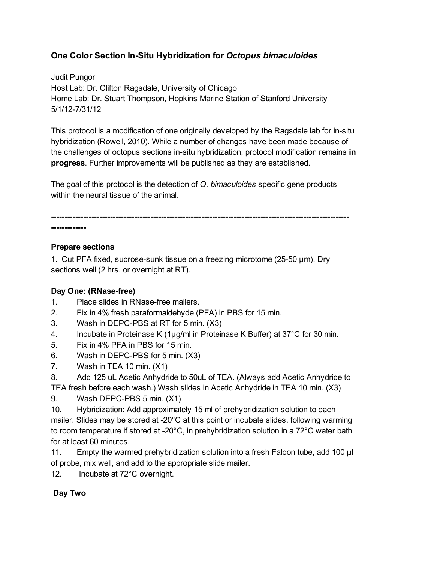## **One Color Section InSitu Hybridization for** *Octopus bimaculoides*

Judit Pungor Host Lab: Dr. Clifton Ragsdale, University of Chicago Home Lab: Dr. Stuart Thompson, Hopkins Marine Station of Stanford University 5/1/127/31/12

This protocol is a modification of one originally developed by the Ragsdale lab for in-situ hybridization (Rowell, 2010). While a number of changes have been made because of the challenges of octopus sections in-situ hybridization, protocol modification remains in **progress**. Further improvements will be published as they are established.

The goal of this protocol is the detection of *O. bimaculoides* specific gene products within the neural tissue of the animal.

-------------

### **Prepare sections**

1. Cut PFA fixed, sucrose-sunk tissue on a freezing microtome (25-50  $\mu$ m). Dry sections well (2 hrs. or overnight at RT).

### **Day One: (RNasefree)**

- 1. Place slides in RNase-free mailers.
- 2. Fix in 4% fresh paraformaldehyde (PFA) in PBS for 15 min.
- 3. Wash in DEPC-PBS at RT for 5 min. (X3)
- 4. Incubate in Proteinase K (1µg/ml in Proteinase K Buffer) at 37°C for 30 min.
- 5. Fix in 4% PFA in PBS for 15 min.
- 6. Wash in DEPC-PBS for 5 min. (X3)
- 7. Wash in TEA 10 min. (X1)
- 8. Add 125 uL Acetic Anhydride to 50uL of TEA. (Always add Acetic Anhydride to TEA fresh before each wash.) Wash slides in Acetic Anhydride in TEA 10 min. (X3)
- 9. Wash DEPC-PBS 5 min. (X1)
- 10. Hybridization: Add approximately 15 ml of prehybridization solution to each mailer. Slides may be stored at -20°C at this point or incubate slides, following warming to room temperature if stored at 20°C, in prehybridization solution in a 72°C water bath for at least 60 minutes.
- 11. Empty the warmed prehybridization solution into a fresh Falcon tube, add 100 µl of probe, mix well, and add to the appropriate slide mailer.

12. Incubate at 72°C overnight.

## **Day Two**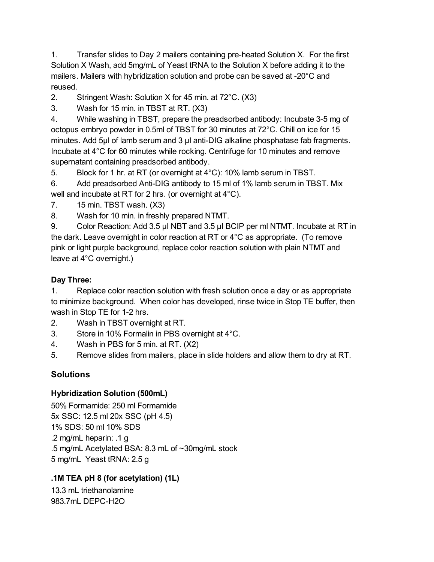1. Transfer slides to Day 2 mailers containing preheated Solution X. For the first Solution X Wash, add 5mg/mL of Yeast tRNA to the Solution X before adding it to the mailers. Mailers with hybridization solution and probe can be saved at -20°C and reused.

2. Stringent Wash: Solution X for 45 min. at 72°C. (X3)

3. Wash for 15 min. in TBST at RT. (X3)

4. While washing in TBST, prepare the preadsorbed antibody: Incubate 35 mg of octopus embryo powder in 0.5ml of TBST for 30 minutes at 72°C. Chill on ice for 15 minutes. Add  $5\mu$  of lamb serum and 3  $\mu$  anti-DIG alkaline phosphatase fab fragments. Incubate at 4°C for 60 minutes while rocking. Centrifuge for 10 minutes and remove supernatant containing preadsorbed antibody.

5. Block for 1 hr. at RT (or overnight at 4°C): 10% lamb serum in TBST.

6. Add preadsorbed Anti-DIG antibody to 15 ml of 1% lamb serum in TBST. Mix well and incubate at RT for 2 hrs. (or overnight at 4°C).

- 7. 15 min. TBST wash. (X3)
- 8. Wash for 10 min. in freshly prepared NTMT.

9. Color Reaction: Add 3.5 µl NBT and 3.5 µl BCIP per ml NTMT. Incubate at RT in the dark. Leave overnight in color reaction at RT or 4°C as appropriate. (To remove pink or light purple background, replace color reaction solution with plain NTMT and leave at 4°C overnight.)

### **Day Three:**

1. Replace color reaction solution with fresh solution once a day or as appropriate to minimize background. When color has developed, rinse twice in Stop TE buffer, then wash in Stop TE for 1-2 hrs.

- 2. Wash in TBST overnight at RT.
- 3. Store in 10% Formalin in PBS overnight at 4°C.
- 4. Wash in PBS for 5 min. at RT. (X2)
- 5. Remove slides from mailers, place in slide holders and allow them to dry at RT.

# **Solutions**

### **Hybridization Solution (500mL)**

50% Formamide: 250 ml Formamide 5x SSC: 12.5 ml 20x SSC (pH 4.5) 1% SDS: 50 ml 10% SDS .2 mg/mL heparin: .1 g .5 mg/mL Acetylated BSA: 8.3 mL of ~30mg/mL stock 5 mg/mL Yeast tRNA: 2.5 g

## **.1M TEA pH 8 (for acetylation) (1L)**

13.3 mL triethanolamine 983.7mL DEPC-H2O